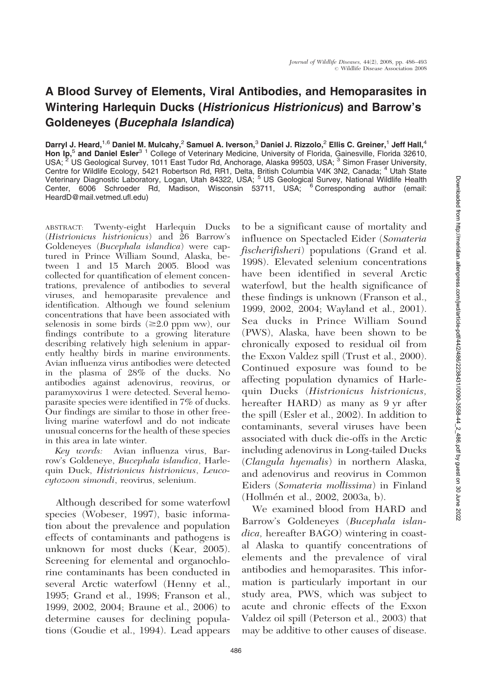## A Blood Survey of Elements, Viral Antibodies, and Hemoparasites in Wintering Harlequin Ducks (Histrionicus Histrionicus) and Barrow's Goldeneyes (Bucephala Islandica)

Darryl J. Heard,<sup>1,6</sup> Daniel M. Mulcahy,<sup>2</sup> Samuel A. Iverson,<sup>3</sup> Daniel J. Rizzolo,<sup>2</sup> Ellis C. Greiner,<sup>1</sup> Jeff Hall,<sup>4</sup> Hon Ip.<sup>5</sup> and Daniel Esler<sup>3 1</sup> College of Veterinary Medicine, University of Florida, Gainesville, Florida 32610, USA; <sup>2</sup> US Geological Survey, 1011 East Tudor Rd, Anchorage, Alaska 99503, USA; <sup>3</sup> Simon Fraser University, Centre for Wildlife Ecology, 5421 Robertson Rd, RR1, Delta, British Columbia V4K 3N2, Canada; <sup>4</sup> Utah State Veterinary Diagnostic Laboratory, Logan, Utah 84322, USA; <sup>5</sup> US Geological Survey, National Wildlife Health Center, 6006 Schroeder Rd, Madison, Wisconsin 53711, USA; <sup>6</sup> Corresponding author (email: HeardD@mail.vetmed.ufl.edu)

ABSTRACT: Twenty-eight Harlequin Ducks (Histrionicus histrionicus) and 26 Barrow's Goldeneyes (Bucephala islandica) were captured in Prince William Sound, Alaska, between 1 and 15 March 2005. Blood was collected for quantification of element concentrations, prevalence of antibodies to several viruses, and hemoparasite prevalence and identification. Although we found selenium concentrations that have been associated with selenosis in some birds  $(\geq 2.0$  ppm ww), our findings contribute to a growing literature describing relatively high selenium in apparently healthy birds in marine environments. Avian influenza virus antibodies were detected in the plasma of 28% of the ducks. No antibodies against adenovirus, reovirus, or paramyxovirus 1 were detected. Several hemoparasite species were identified in 7% of ducks. Our findings are similar to those in other freeliving marine waterfowl and do not indicate unusual concerns for the health of these species in this area in late winter.

Key words: Avian influenza virus, Barrow's Goldeneye, Bucephala islandica, Harlequin Duck, Histrionicus histrionicus, Leucocytozoon simondi, reovirus, selenium.

Although described for some waterfowl species (Wobeser, 1997), basic information about the prevalence and population effects of contaminants and pathogens is unknown for most ducks (Kear, 2005). Screening for elemental and organochlorine contaminants has been conducted in several Arctic waterfowl (Henny et al., 1995; Grand et al., 1998; Franson et al., 1999, 2002, 2004; Braune et al., 2006) to determine causes for declining populations (Goudie et al., 1994). Lead appears

to be a significant cause of mortality and influence on Spectacled Eider (Somateria fischerifisheri) populations (Grand et al. 1998). Elevated selenium concentrations have been identified in several Arctic waterfowl, but the health significance of these findings is unknown (Franson et al., 1999, 2002, 2004; Wayland et al., 2001). Sea ducks in Prince William Sound (PWS), Alaska, have been shown to be chronically exposed to residual oil from the Exxon Valdez spill (Trust et al., 2000). Continued exposure was found to be affecting population dynamics of Harlequin Ducks (Histrionicus histrionicus, hereafter HARD) as many as 9 yr after the spill (Esler et al., 2002). In addition to contaminants, several viruses have been associated with duck die-offs in the Arctic including adenovirus in Long-tailed Ducks (Clangula hyemalis) in northern Alaska, and adenovirus and reovirus in Common Eiders (Somateria mollissima) in Finland (Hollmén et al., 2002, 2003a, b).

We examined blood from HARD and Barrow's Goldeneyes (Bucephala islandica, hereafter BAGO) wintering in coastal Alaska to quantify concentrations of elements and the prevalence of viral antibodies and hemoparasites. This information is particularly important in our study area, PWS, which was subject to acute and chronic effects of the Exxon Valdez oil spill (Peterson et al., 2003) that may be additive to other causes of disease.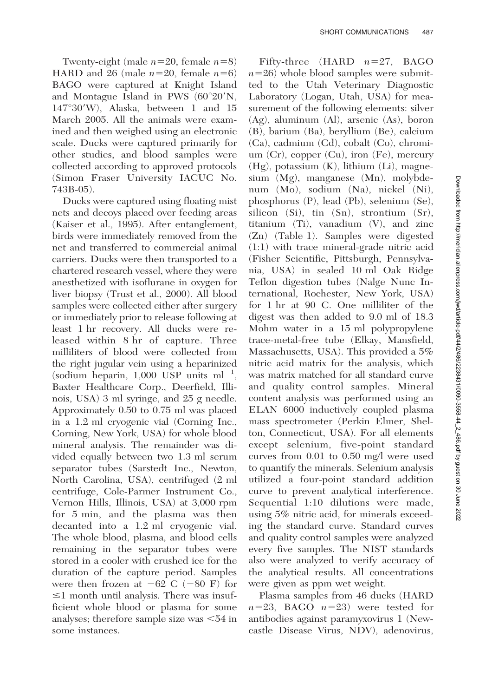Twenty-eight (male  $n=20$ , female  $n=8$ ) HARD and 26 (male  $n=20$ , female  $n=6$ ) BAGO were captured at Knight Island and Montague Island in PWS  $(60^{\circ}20'N,$  $147^{\circ}30'$ W), Alaska, between 1 and 15 March 2005. All the animals were examined and then weighed using an electronic scale. Ducks were captured primarily for other studies, and blood samples were collected according to approved protocols (Simon Fraser University IACUC No. 743B-05).

Ducks were captured using floating mist nets and decoys placed over feeding areas (Kaiser et al., 1995). After entanglement, birds were immediately removed from the net and transferred to commercial animal carriers. Ducks were then transported to a chartered research vessel, where they were anesthetized with isoflurane in oxygen for liver biopsy (Trust et al., 2000). All blood samples were collected either after surgery or immediately prior to release following at least 1 hr recovery. All ducks were released within 8 hr of capture. Three milliliters of blood were collected from the right jugular vein using a heparinized (sodium heparin, 1,000 USP units  $ml^{-1}$ , Baxter Healthcare Corp., Deerfield, Illinois, USA) 3 ml syringe, and 25 g needle. Approximately 0.50 to 0.75 ml was placed in a 1.2 ml cryogenic vial (Corning Inc., Corning, New York, USA) for whole blood mineral analysis. The remainder was divided equally between two 1.3 ml serum separator tubes (Sarstedt Inc., Newton, North Carolina, USA), centrifuged (2 ml centrifuge, Cole-Parmer Instrument Co., Vernon Hills, Illinois, USA) at 3,000 rpm for 5 min, and the plasma was then decanted into a 1.2 ml cryogenic vial. The whole blood, plasma, and blood cells remaining in the separator tubes were stored in a cooler with crushed ice for the duration of the capture period. Samples were then frozen at  $-62$  C ( $-80$  F) for  $\leq$ 1 month until analysis. There was insufficient whole blood or plasma for some analyses; therefore sample size was  $<54$  in some instances.

Fifty-three (HARD  $n=27$ , BAGO  $n=26$ ) whole blood samples were submitted to the Utah Veterinary Diagnostic Laboratory (Logan, Utah, USA) for measurement of the following elements: silver (Ag), aluminum (Al), arsenic (As), boron (B), barium (Ba), beryllium (Be), calcium (Ca), cadmium (Cd), cobalt (Co), chromium (Cr), copper (Cu), iron (Fe), mercury (Hg), potassium (K), lithium (Li), magnesium (Mg), manganese (Mn), molybdenum (Mo), sodium (Na), nickel (Ni), phosphorus (P), lead (Pb), selenium (Se), silicon (Si), tin (Sn), strontium (Sr), titanium (Ti), vanadium (V), and zinc (Zn) (Table 1). Samples were digested (1:1) with trace mineral-grade nitric acid (Fisher Scientific, Pittsburgh, Pennsylvania, USA) in sealed 10 ml Oak Ridge Teflon digestion tubes (Nalge Nunc International, Rochester, New York, USA) for 1 hr at 90 C. One milliliter of the digest was then added to 9.0 ml of 18.3 Mohm water in a 15 ml polypropylene trace-metal-free tube (Elkay, Mansfield, Massachusetts, USA). This provided a 5% nitric acid matrix for the analysis, which was matrix matched for all standard curve and quality control samples. Mineral content analysis was performed using an ELAN 6000 inductively coupled plasma mass spectrometer (Perkin Elmer, Shelton, Connecticut, USA). For all elements except selenium, five-point standard curves from 0.01 to 0.50 mg/l were used to quantify the minerals. Selenium analysis utilized a four-point standard addition curve to prevent analytical interference. Sequential 1:10 dilutions were made, using 5% nitric acid, for minerals exceeding the standard curve. Standard curves and quality control samples were analyzed every five samples. The NIST standards also were analyzed to verify accuracy of the analytical results. All concentrations were given as ppm wet weight.

Plasma samples from 46 ducks (HARD  $n=23$ , BAGO  $n=23$ ) were tested for antibodies against paramyxovirus 1 (Newcastle Disease Virus, NDV), adenovirus,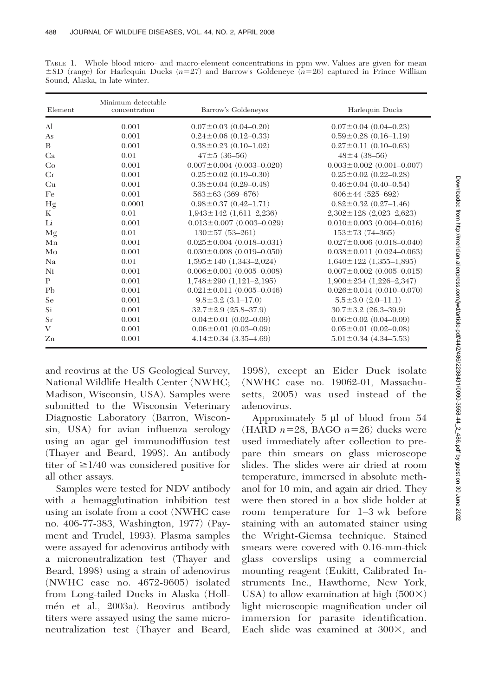| Element        | Minimum detectable<br>concentration | Barrow's Goldeneves               | Harlequin Ducks                     |
|----------------|-------------------------------------|-----------------------------------|-------------------------------------|
| $\mathbf{Al}$  | 0.001                               | $0.07 \pm 0.03$ $(0.04 - 0.20)$   | $0.07 \pm 0.04$ (0.04-0.23)         |
| As             | 0.001                               | $0.24 \pm 0.06$ (0.12-0.33)       | $0.59 \pm 0.28$ (0.16-1.19)         |
| B              | 0.001                               | $0.38 \pm 0.23$ (0.10-1.02)       | $0.27 \pm 0.11$ (0.10-0.63)         |
| Ca             | 0.01                                | $47\pm5(36-56)$                   | $48 \pm 4$ (38-56)                  |
| Co             | 0.001                               | $0.007 \pm 0.004$ (0.003-0.020)   | $0.003 \pm 0.002$ (0.001-0.007)     |
| Cr             | 0.001                               | $0.25 \pm 0.02$ (0.19-0.30)       | $0.25 \pm 0.02$ $(0.22 - 0.28)$     |
| Cu             | 0.001                               | $0.38 \pm 0.04$ (0.29-0.48)       | $0.46 \pm 0.04$ (0.40-0.54)         |
| Fe             | 0.001                               | $563 \pm 63$ (369-676)            | $606 \pm 44$ (525-692)              |
| Hg             | 0.0001                              | $0.98 \pm 0.37$ $(0.42 - 1.71)$   | $0.82 \pm 0.32$ (0.27-1.46)         |
| Κ              | 0.01                                | $1,943 \pm 142$ (1,611-2,236)     | $2,302 \pm 128$ (2,023-2,623)       |
| Li             | 0.001                               | $0.013 \pm 0.007$ (0.003-0.029)   | $0.010 \pm 0.003$ (0.004-0.016)     |
| Mg             | 0.01                                | $130 \pm 57$ (53-261)             | $153 \pm 73$ (74-365)               |
| Mn             | 0.001                               | $0.025 \pm 0.004$ (0.018-0.031)   | $0.027 \pm 0.006$ (0.018-0.040)     |
| Mo             | 0.001                               | $0.030 \pm 0.008$ (0.019-0.050)   | $0.038 \pm 0.011$ $(0.024 - 0.063)$ |
| Na             | 0.01                                | $1,595 \pm 140$ (1,343-2,024)     | $1,640 \pm 122$ (1,355-1,895)       |
| Ni             | 0.001                               | $0.006 \pm 0.001$ (0.005-0.008)   | $0.007 \pm 0.002$ (0.005-0.015)     |
| $\mathbf{P}$   | 0.001                               | $1,748 \pm 290$ $(1,121 - 2,195)$ | $1,900 \pm 234$ (1,226-2,347)       |
| P <sub>b</sub> | 0.001                               | $0.021 \pm 0.011$ (0.005-0.046)   | $0.026 \pm 0.014$ (0.010-0.070)     |
| Se             | 0.001                               | $9.8 \pm 3.2$ $(3.1 - 17.0)$      | $5.5 \pm 3.0$ $(2.0 - 11.1)$        |
| Si             | 0.001                               | $32.7 \pm 2.9$ (25.8-37.9)        | $30.7 \pm 3.2$ (26.3-39.9)          |
| <b>Sr</b>      | 0.001                               | $0.04 \pm 0.01$ (0.02-0.09)       | $0.06 \pm 0.02$ $(0.04 - 0.09)$     |
| V              | 0.001                               | $0.06 \pm 0.01$ (0.03-0.09)       | $0.05 \pm 0.01$ $(0.02 - 0.08)$     |
| Zn             | 0.001                               | $4.14 \pm 0.34$ (3.35-4.69)       | $5.01 \pm 0.34$ (4.34-5.53)         |

TABLE 1. Whole blood micro- and macro-element concentrations in ppm ww. Values are given for mean  $\pm$ SD (range) for Harlequin Ducks (n=27) and Barrow's Goldeneye (n=26) captured in Prince William Sound, Alaska, in late winter.

and reovirus at the US Geological Survey, National Wildlife Health Center (NWHC; Madison, Wisconsin, USA). Samples were submitted to the Wisconsin Veterinary Diagnostic Laboratory (Barron, Wisconsin, USA) for avian influenza serology using an agar gel immunodiffusion test (Thayer and Beard, 1998). An antibody titer of  $\geq$ 1/40 was considered positive for all other assays.

Samples were tested for NDV antibody with a hemagglutination inhibition test using an isolate from a coot (NWHC case no. 406-77-383, Washington, 1977) (Payment and Trudel, 1993). Plasma samples were assayed for adenovirus antibody with a microneutralization test (Thayer and Beard, 1998) using a strain of adenovirus (NWHC case no. 4672-9605) isolated from Long-tailed Ducks in Alaska (Hollmén et al., 2003a). Reovirus antibody titers were assayed using the same microneutralization test (Thayer and Beard,

1998), except an Eider Duck isolate (NWHC case no. 19062-01, Massachusetts, 2005) was used instead of the adenovirus.

Approximately  $5 \mu l$  of blood from  $54$ (HARD  $n=28$ , BAGO  $n=26$ ) ducks were used immediately after collection to prepare thin smears on glass microscope slides. The slides were air dried at room temperature, immersed in absolute methanol for 10 min, and again air dried. They were then stored in a box slide holder at room temperature for 1–3 wk before staining with an automated stainer using the Wright-Giemsa technique. Stained smears were covered with 0.16-mm-thick glass coverslips using a commercial mounting reagent (Eukitt, Calibrated Instruments Inc., Hawthorne, New York, USA) to allow examination at high  $(500\times)$ light microscopic magnification under oil immersion for parasite identification. Each slide was examined at  $300\times$ , and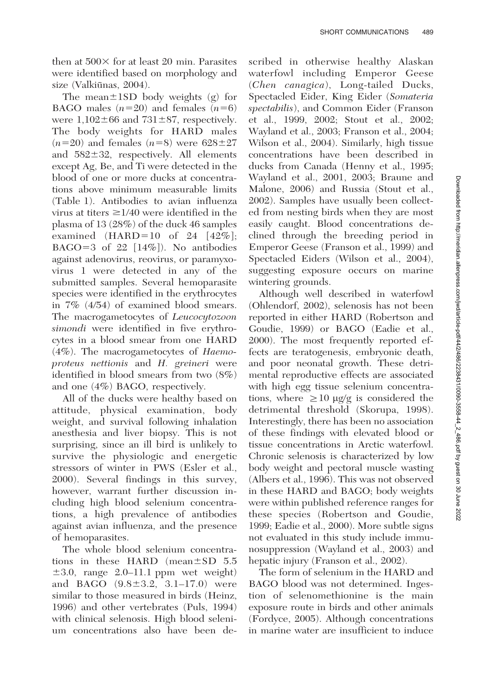then at  $500\times$  for at least 20 min. Parasites were identified based on morphology and size (Valkiūnas, 2004).

The mean $\pm$ 1SD body weights (g) for BAGO males  $(n=20)$  and females  $(n=6)$ were  $1,102\pm66$  and  $731\pm87$ , respectively. The body weights for HARD males  $(n=20)$  and females  $(n=8)$  were  $628\pm27$ and  $582\pm32$ , respectively. All elements except Ag, Be, and Ti were detected in the blood of one or more ducks at concentrations above minimum measurable limits (Table 1). Antibodies to avian influenza virus at titers  $\geq$  1/40 were identified in the plasma of 13 (28%) of the duck 46 samples examined  $(HARD=10$  of 24  $[42\%]$ ; BAGO=3 of 22  $[14\%]$ ). No antibodies against adenovirus, reovirus, or paramyxovirus 1 were detected in any of the submitted samples. Several hemoparasite species were identified in the erythrocytes in 7% (4/54) of examined blood smears. The macrogametocytes of Leucocytozoon simondi were identified in five erythrocytes in a blood smear from one HARD (4%). The macrogametocytes of Haemoproteus nettionis and H. greineri were identified in blood smears from two (8%) and one (4%) BAGO, respectively.

All of the ducks were healthy based on attitude, physical examination, body weight, and survival following inhalation anesthesia and liver biopsy. This is not surprising, since an ill bird is unlikely to survive the physiologic and energetic stressors of winter in PWS (Esler et al., 2000). Several findings in this survey, however, warrant further discussion including high blood selenium concentrations, a high prevalence of antibodies against avian influenza, and the presence of hemoparasites.

The whole blood selenium concentrations in these HARD (mean $\pm$ SD 5.5  $\pm 3.0$ , range 2.0–11.1 ppm wet weight) and BAGO  $(9.8 \pm 3.2, 3.1 - 17.0)$  were similar to those measured in birds (Heinz, 1996) and other vertebrates (Puls, 1994) with clinical selenosis. High blood selenium concentrations also have been de-

scribed in otherwise healthy Alaskan waterfowl including Emperor Geese (Chen canagica), Long-tailed Ducks, Spectacled Eider, King Eider (Somateria spectabilis), and Common Eider (Franson et al., 1999, 2002; Stout et al., 2002; Wayland et al., 2003; Franson et al., 2004; Wilson et al., 2004). Similarly, high tissue concentrations have been described in ducks from Canada (Henny et al., 1995; Wayland et al., 2001, 2003; Braune and Malone, 2006) and Russia (Stout et al., 2002). Samples have usually been collected from nesting birds when they are most easily caught. Blood concentrations declined through the breeding period in Emperor Geese (Franson et al., 1999) and Spectacled Eiders (Wilson et al., 2004), suggesting exposure occurs on marine wintering grounds.

Although well described in waterfowl (Ohlendorf, 2002), selenosis has not been reported in either HARD (Robertson and Goudie, 1999) or BAGO (Eadie et al., 2000). The most frequently reported effects are teratogenesis, embryonic death, and poor neonatal growth. These detrimental reproductive effects are associated with high egg tissue selenium concentrations, where  $\geq 10 \mu g/g$  is considered the detrimental threshold (Skorupa, 1998). Interestingly, there has been no association of these findings with elevated blood or tissue concentrations in Arctic waterfowl. Chronic selenosis is characterized by low body weight and pectoral muscle wasting (Albers et al., 1996). This was not observed in these HARD and BAGO; body weights were within published reference ranges for these species (Robertson and Goudie, 1999; Eadie et al., 2000). More subtle signs not evaluated in this study include immunosuppression (Wayland et al., 2003) and hepatic injury (Franson et al., 2002).

The form of selenium in the HARD and BAGO blood was not determined. Ingestion of selenomethionine is the main exposure route in birds and other animals (Fordyce, 2005). Although concentrations in marine water are insufficient to induce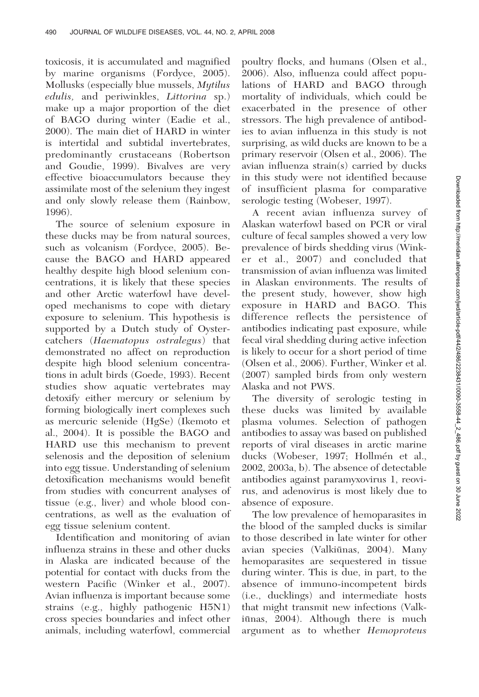toxicosis, it is accumulated and magnified by marine organisms (Fordyce, 2005). Mollusks (especially blue mussels, Mytilus edulis, and periwinkles, Littorina sp.) make up a major proportion of the diet of BAGO during winter (Eadie et al., 2000). The main diet of HARD in winter is intertidal and subtidal invertebrates, predominantly crustaceans (Robertson and Goudie, 1999). Bivalves are very effective bioaccumulators because they assimilate most of the selenium they ingest and only slowly release them (Rainbow, 1996).

The source of selenium exposure in these ducks may be from natural sources, such as volcanism (Fordyce, 2005). Because the BAGO and HARD appeared healthy despite high blood selenium concentrations, it is likely that these species and other Arctic waterfowl have developed mechanisms to cope with dietary exposure to selenium. This hypothesis is supported by a Dutch study of Oystercatchers (Haematopus ostralegus) that demonstrated no affect on reproduction despite high blood selenium concentrations in adult birds (Goede, 1993). Recent studies show aquatic vertebrates may detoxify either mercury or selenium by forming biologically inert complexes such as mercuric selenide (HgSe) (Ikemoto et al., 2004). It is possible the BAGO and HARD use this mechanism to prevent selenosis and the deposition of selenium into egg tissue. Understanding of selenium detoxification mechanisms would benefit from studies with concurrent analyses of tissue (e.g., liver) and whole blood concentrations, as well as the evaluation of egg tissue selenium content.

Identification and monitoring of avian influenza strains in these and other ducks in Alaska are indicated because of the potential for contact with ducks from the western Pacific (Winker et al., 2007). Avian influenza is important because some strains (e.g., highly pathogenic H5N1) cross species boundaries and infect other animals, including waterfowl, commercial

poultry flocks, and humans (Olsen et al., 2006). Also, influenza could affect populations of HARD and BAGO through mortality of individuals, which could be exacerbated in the presence of other stressors. The high prevalence of antibodies to avian influenza in this study is not surprising, as wild ducks are known to be a primary reservoir (Olsen et al., 2006). The avian influenza strain(s) carried by ducks in this study were not identified because of insufficient plasma for comparative serologic testing (Wobeser, 1997).

A recent avian influenza survey of Alaskan waterfowl based on PCR or viral culture of fecal samples showed a very low prevalence of birds shedding virus (Winker et al., 2007) and concluded that transmission of avian influenza was limited in Alaskan environments. The results of the present study, however, show high exposure in HARD and BAGO. This difference reflects the persistence of antibodies indicating past exposure, while fecal viral shedding during active infection is likely to occur for a short period of time (Olsen et al., 2006). Further, Winker et al. (2007) sampled birds from only western Alaska and not PWS.

The diversity of serologic testing in these ducks was limited by available plasma volumes. Selection of pathogen antibodies to assay was based on published reports of viral diseases in arctic marine ducks (Wobeser, 1997; Hollmén et al., 2002, 2003a, b). The absence of detectable antibodies against paramyxovirus 1, reovirus, and adenovirus is most likely due to absence of exposure.

The low prevalence of hemoparasites in the blood of the sampled ducks is similar to those described in late winter for other avian species (Valkiūnas, 2004). Many hemoparasites are sequestered in tissue during winter. This is due, in part, to the absence of immuno-incompetent birds (i.e., ducklings) and intermediate hosts that might transmit new infections (Valkiūnas, 2004). Although there is much argument as to whether *Hemoproteus*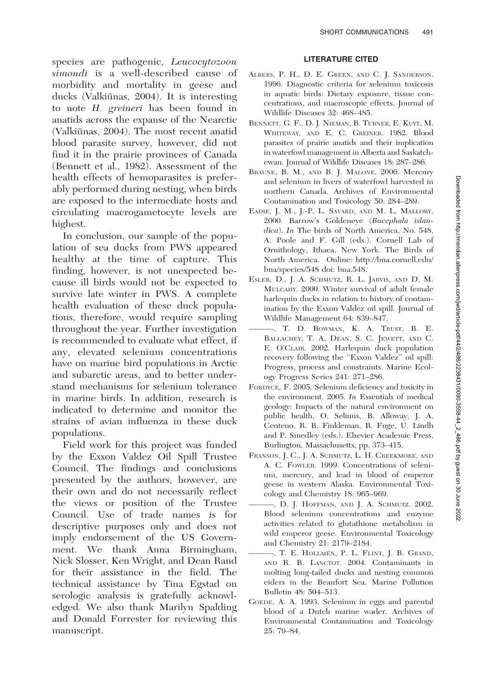species are pathogenic, *Leucocytozoon* simondi is a well-described cause of morbidity and mortality in geese and ducks (Valkiūnas, 2004). It is interesting to note H. greineri has been found in anatids across the expanse of the Nearctic (Valkiūnas, 2004). The most recent anatid blood parasite survey, however, did not find it in the prairie provinces of Canada (Bennett et al., 1982). Assessment of the health effects of hemoparasites is preferably performed during nesting, when birds are exposed to the intermediate hosts and circulating macrogametocyte levels are highest.

In conclusion, our sample of the population of sea ducks from PWS appeared healthy at the time of capture. This finding, however, is not unexpected because ill birds would not be expected to survive late winter in PWS. A complete health evaluation of these duck populations, therefore, would require sampling throughout the year. Further investigation is recommended to evaluate what effect, if any, elevated selenium concentrations have on marine bird populations in Arctic and subarctic areas, and to better understand mechanisms for selenium tolerance in marine birds. In addition, research is indicated to determine and monitor the strains of avian influenza in these duck populations.

Field work for this project was funded by the Exxon Valdez Oil Spill Trustee Council. The findings and conclusions presented by the authors, however, are their own and do not necessarily reflect the views or position of the Trustee Council. Use of trade names is for descriptive purposes only and does not imply endorsement of the US Government. We thank Anna Birmingham, Nick Slosser, Ken Wright, and Dean Rand for their assistance in the field. The technical assistance by Tina Egstad on serologic analysis is gratefully acknowledged. We also thank Marilyn Spalding and Donald Forrester for reviewing this manuscript.

## LITERATURE CITED

- ALBERS, P. H., D. E. GREEN, AND C. J. SANDERSON. 1996. Diagnostic criteria for selenium toxicosis in aquatic birds: Dietary exposure, tissue concentrations, and macroscopic effects. Journal of Wildlife Diseases 32: 468–485.
- BENNETT, G. F., D. J. NIEMAN, B. TURNER, E. KUYT, M. WHITEWAY, AND E. C. GREINER. 1982. Blood parasites of prairie anatids and their implication in waterfowl management in Alberta and Saskatchewan. Journal of Wildlife Diseases 18: 287–286.
- BRAUNE, B. M., AND B. J. MALONE. 2006. Mercury and selenium in livers of waterfowl harvested in northern Canada. Archives of Environmental Contamination and Toxicology 50: 284–289.
- EADIE, J. M., J.-P. L. SAVARD, AND M. L. MALLORY. 2000. Barrow's Goldeneye (Bucephala islandica). In The birds of North America, No. 548, A. Poole and F. Gill (eds.). Cornell Lab of Ornithology, Ithaca, New York. The Birds of North America. Online: http://bna.cornell.edu/ bna/species/548 doi: bna.548.
- ESLER, D., J. A. SCHMUTZ, R. L. JARVIS, AND D. M. MULCAHY. 2000. Winter survival of adult female harlequin ducks in relation to history of contamination by the Exxon Valdez oil spill. Journal of Wildlife Management 64: 839–847.
- ———, T. D. BOWMAN, K. A. TRUST, B. E. BALLACHEY, T. A. DEAN, S. C. JEWETT, AND C. E. O'CLAIR. 2002. Harlequin duck population recovery following the ''Exxon Valdez'' oil spill: Progress, process and constraints. Marine Ecology Progress Series 241: 271–286.
- FORDYCE, F. 2005. Selenium deficiency and toxicity in the environment. 2005. In Essentials of medical geology: Impacts of the natural environment on public health, O. Selinus, B. Alloway, J. A. Centeno, R. B. Finkleman, R. Fuge, U. Lindh and P. Smedley (eds.). Elsevier Academic Press, Burlington, Massachusetts, pp. 373–415.
- FRANSON, J. C., J. A. SCHMUTZ, L. H. CREEKMORE, AND A. C. FOWLER. 1999. Concentrations of selenium, mercury, and lead in blood of emperor geese in western Alaska. Environmental Toxicology and Chemistry 18: 965–969.
- ———, D. J. HOFFMAN, AND J. A. SCHMUTZ. 2002. Blood selenium concentrations and enzyme activities related to glutathione metabolism in wild emperor geese. Environmental Toxicology and Chemistry 21: 2179–2184.
- -, T. E. HOLLMÉN, P. L. FLINT, J. B. GRAND, AND R. B. LANCTOT. 2004. Contaminants in molting long-tailed ducks and nesting common eiders in the Beaufort Sea. Marine Pollution Bulletin 48: 504–513.
- GOEDE, A. A. 1993. Selenium in eggs and parental blood of a Dutch marine wader. Archives of Environmental Contamination and Toxicology 25: 79–84.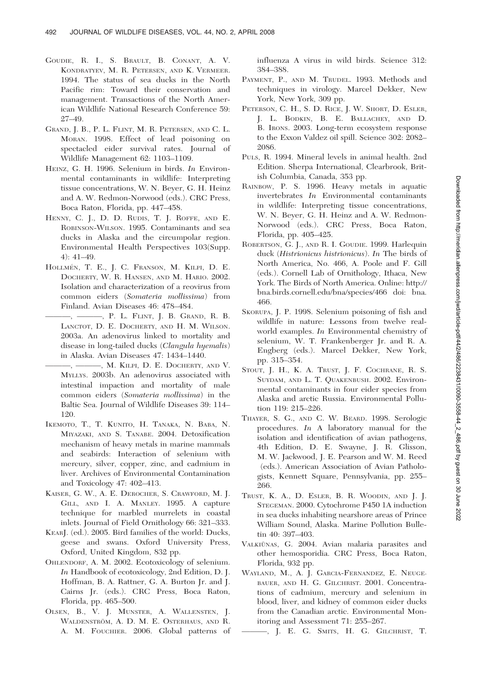- GOUDIE, R. I., S. BRAULT, B. CONANT, A. V. KONDRATYEV, M. R. PETERSEN, AND K. VERMEER. 1994. The status of sea ducks in the North Pacific rim: Toward their conservation and management. Transactions of the North American Wildlife National Research Conference 59: 27–49.
- GRAND, J. B., P. L. FLINT, M. R. PETERSEN, AND C. L. MORAN. 1998. Effect of lead poisoning on spectacled eider survival rates. Journal of Wildlife Management 62: 1103–1109.
- HEINZ, G. H. 1996. Selenium in birds. In Environmental contaminants in wildlife: Interpreting tissue concentrations, W. N. Beyer, G. H. Heinz and A. W. Redmon-Norwood (eds.). CRC Press, Boca Raton, Florida, pp. 447–458.
- HENNY, C. J., D. D. RUDIS, T. J. ROFFE, AND E. ROBINSON-WILSON. 1995. Contaminants and sea ducks in Alaska and the circumpolar region. Environmental Health Perspectives 103(Supp. 4): 41–49.
- HOLLMÉN, T. E., J. C. FRANSON, M. KILPI, D. E. DOCHERTY, W. R. HANSEN, AND M. HARIO. 2002. Isolation and characterization of a reovirus from common eiders (Somateria mollissima) from Finland. Avian Diseases 46: 478–484.
	- ———, ———, P. L. FLINT, J. B. GRAND, R. B. LANCTOT, D. E. DOCHERTY, AND H. M. WILSON. 2003a. An adenovirus linked to mortality and disease in long-tailed ducks (Clangula hyemalis) in Alaska. Avian Diseases 47: 1434–1440.
- -, M. KILPI, D. E. DOCHERTY, AND V. MYLLYS. 2003b. An adenovirus associated with intestinal impaction and mortality of male common eiders (Somateria mollissima) in the Baltic Sea. Journal of Wildlife Diseases 39: 114– 120.
- IKEMOTO, T., T. KUNITO, H. TANAKA, N. BABA, N. MIYAZAKI, AND S. TANABE. 2004. Detoxification mechanism of heavy metals in marine mammals and seabirds: Interaction of selenium with mercury, silver, copper, zinc, and cadmium in liver. Archives of Environmental Contamination and Toxicology 47: 402–413.
- KAISER, G. W., A. E. DEROCHER, S. CRAWFORD, M. J. GILL, AND I. A. MANLEY. 1995. A capture technique for marbled murrelets in coastal inlets. Journal of Field Ornithology 66: 321–333.
- KEARJ. (ed.). 2005. Bird families of the world: Ducks, geese and swans. Oxford University Press, Oxford, United Kingdom, 832 pp.
- OHLENDORF, A. M. 2002. Ecotoxicology of selenium. In Handbook of ecotoxicology, 2nd Edition, D. J. Hoffman, B. A. Rattner, G. A. Burton Jr. and J. Cairns Jr. (eds.). CRC Press, Boca Raton, Florida, pp. 465–500.
- OLSEN, B., V. J. MUNSTER, A. WALLENSTEN, J. WALDENSTRÖM, A. D. M. E. OSTERHAUS, AND R. A. M. FOUCHIER. 2006. Global patterns of

influenza A virus in wild birds. Science 312: 384–388.

- PAYMENT, P., AND M. TRUDEL. 1993. Methods and techniques in virology. Marcel Dekker, New York, New York, 309 pp.
- PETERSON, C. H., S. D. RICE, J. W. SHORT, D. ESLER, J. L. BODKIN, B. E. BALLACHEY, AND D. B. IRONS. 2003. Long-term ecosystem response to the Exxon Valdez oil spill. Science 302: 2082– 2086.
- PULS, R. 1994. Mineral levels in animal health. 2nd Edition. Sherpa International, Clearbrook, British Columbia, Canada, 353 pp.
- RAINBOW, P. S. 1996. Heavy metals in aquatic invertebrates In Environmental contaminants in wildlife: Interpreting tissue concentrations, W. N. Beyer, G. H. Heinz and A. W. Redmon-Norwood (eds.). CRC Press, Boca Raton, Florida, pp. 405–425.
- ROBERTSON, G. J., AND R. I. GOUDIE. 1999. Harlequin duck (Histrionicus histrionicus). In The birds of North America, No. 466, A. Poole and F. Gill (eds.). Cornell Lab of Ornithology, Ithaca, New York. The Birds of North America. Online: http:// bna.birds.cornell.edu/bna/species/466 doi: bna. 466.
- SKORUPA, J. P. 1998. Selenium poisoning of fish and wildlife in nature: Lessons from twelve realworld examples. In Environmental chemistry of selenium, W. T. Frankenberger Jr. and R. A. Engberg (eds.). Marcel Dekker, New York, pp. 315–354.
- STOUT, J. H., K. A. TRUST, J. F. COCHRANE, R. S. SUYDAM, AND L. T. QUAKENBUSH. 2002. Environmental contaminants in four eider species from Alaska and arctic Russia. Environmental Pollution 119: 215–226.
- THAYER, S. G., AND C. W. BEARD. 1998. Serologic procedures. In A laboratory manual for the isolation and identification of avian pathogens, 4th Edition, D. E. Swayne, J. R. Glisson, M. W. Jackwood, J. E. Pearson and W. M. Reed (eds.). American Association of Avian Pathologists, Kennett Square, Pennsylvania, pp. 255– 266.
- TRUST, K. A., D. ESLER, B. R. WOODIN, AND J. J. STEGEMAN. 2000. Cytochrome P450 1A induction in sea ducks inhabiting nearshore areas of Prince William Sound, Alaska. Marine Pollution Bulletin 40: 397–403.
- VALKIŪNAS, G. 2004. Avian malaria parasites and other hemosporidia. CRC Press, Boca Raton, Florida, 932 pp.
- WAYLAND, M., A. J. GARCIA-FERNANDEZ, E. NEUGE-BAUER, AND H. G. GILCHRIST. 2001. Concentrations of cadmium, mercury and selenium in blood, liver, and kidney of common eider ducks from the Canadian arctic. Environmental Monitoring and Assessment 71: 255–267.

———, J. E. G. SMITS, H. G. GILCHRIST, T.